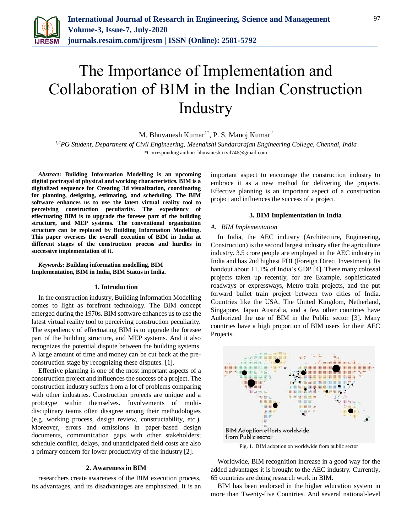

# The Importance of Implementation and Collaboration of BIM in the Indian Construction **Industry**

M. Bhuvanesh Kumar<sup>1\*</sup>, P. S. Manoj Kumar<sup>2</sup>

*1,2PG Student, Department of Civil Engineering, Meenakshi Sundararajan Engineering College, Chennai, India* \*Corresponding author: bhuvanesh.civil746@gmail.com

*Abstract***: Building Information Modelling is an upcoming digital portrayal of physical and working characteristics. BIM is a digitalized sequence for Creating 3d visualization, coordinating for planning, designing, estimating, and scheduling. The BIM software enhances us to use the latest virtual reality tool to perceiving construction peculiarity. The expediency of effectuating BIM is to upgrade the foresee part of the building structure, and MEP systems. The conventional organization structure can be replaced by Building Information Modelling. This paper oversees the overall execution of BIM in India at different stages of the construction process and hurdles in successive implementation of it.**

## *Keywords***: Building information modelling, BIM Implementation, BIM in India, BIM Status in India.**

#### **1. Introduction**

In the construction industry, Building Information Modelling comes to light as forefront technology. The BIM concept emerged during the 1970s. BIM software enhances us to use the latest virtual reality tool to perceiving construction peculiarity. The expediency of effectuating BIM is to upgrade the foresee part of the building structure, and MEP systems. And it also recognizes the potential dispute between the building systems. A large amount of time and money can be cut back at the preconstruction stage by recognizing these disputes. [1].

Effective planning is one of the most important aspects of a construction project and influences the success of a project. The construction industry suffers from a lot of problems comparing with other industries. Construction projects are unique and a prototype within themselves. Involvements of multidisciplinary teams often disagree among their methodologies (e.g. working process, design review, constructability, etc.). Moreover, errors and omissions in paper-based design documents, communication gaps with other stakeholders; schedule conflict, delays, and unanticipated field costs are also a primary concern for lower productivity of the industry [2].

#### **2. Awareness in BIM**

researchers create awareness of the BIM execution process, its advantages, and its disadvantages are emphasized. It is an important aspect to encourage the construction industry to embrace it as a new method for delivering the projects. Effective planning is an important aspect of a construction project and influences the success of a project.

# **3. BIM Implementation in India**

## *A. BIM Implementation*

In India, the AEC industry (Architecture, Engineering, Construction) is the second largest industry after the agriculture industry. 3.5 crore people are employed in the AEC industry in India and has 2nd highest FDI (Foreign Direct Investment). Its handout about 11.1% of India's GDP [4]. There many colossal projects taken up recently, for are Example, sophisticated roadways or expressways, Metro train projects, and the put forward bullet train project between two cities of India. Countries like the USA, The United Kingdom, Netherland, Singapore, Japan Australia, and a few other countries have Authorized the use of BIM in the Public sector [3]. Many countries have a high proportion of BIM users for their AEC Projects.



Worldwide, BIM recognition increase in a good way for the added advantages it is brought to the AEC industry. Currently, 65 countries are doing research work in BIM.

BIM has been endorsed in the higher education system in more than Twenty-five Countries. And several national-level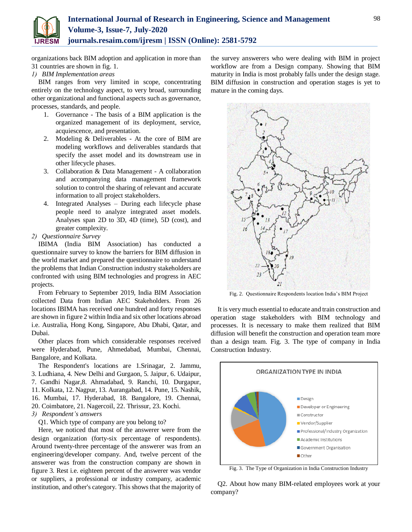

organizations back BIM adoption and application in more than 31 countries are shown in fig. 1.

*1) BIM Implementation areas*

BIM ranges from very limited in scope, concentrating entirely on the technology aspect, to very broad, surrounding other organizational and functional aspects such as governance, processes, standards, and people.

- 1. Governance The basis of a BIM application is the organized management of its deployment, service, acquiescence, and presentation.
- 2. Modeling & Deliverables At the core of BIM are modeling workflows and deliverables standards that specify the asset model and its downstream use in other lifecycle phases.
- 3. Collaboration & Data Management A collaboration and accompanying data management framework solution to control the sharing of relevant and accurate information to all project stakeholders.
- 4. Integrated Analyses During each lifecycle phase people need to analyze integrated asset models. Analyses span 2D to 3D, 4D (time), 5D (cost), and greater complexity.
- *2) Questionnaire Survey*

IBIMA (India BIM Association) has conducted a questionnaire survey to know the barriers for BIM diffusion in the world market and prepared the questionnaire to understand the problems that Indian Construction industry stakeholders are confronted with using BIM technologies and progress in AEC projects.

From February to September 2019, India BIM Association collected Data from Indian AEC Stakeholders. From 26 locations IBIMA has received one hundred and forty responses are shown in figure 2 within India and six other locations abroad i.e. Australia, Hong Kong, Singapore, Abu Dhabi, Qatar, and Dubai.

Other places from which considerable responses received were Hyderabad, Pune, Ahmedabad, Mumbai, Chennai, Bangalore, and Kolkata.

The Respondent's locations are 1.Srinagar, 2. Jammu, 3. Ludhiana, 4. New Delhi and Gurgaon, 5. Jaipur, 6. Udaipur, 7. Gandhi Nagar,8. Ahmadabad, 9. Ranchi, 10. Durgapur, 11. Kolkata, 12. Nagpur, 13. Aurangabad, 14. Pune, 15. Nashik, 16. Mumbai, 17. Hyderabad, 18. Bangalore, 19. Chennai, 20. Coimbatore, 21. Nagercoil, 22. Thrissur, 23. Kochi.

# *3) Respondent's answers*

Q1. Which type of company are you belong to?

Here, we noticed that most of the answerer were from the design organization (forty-six percentage of respondents). Around twenty-three percentage of the answerer was from an engineering/developer company. And, twelve percent of the answerer was from the construction company are shown in figure 3. Rest i.e. eighteen percent of the answerer was vendor or suppliers, a professional or industry company, academic institution, and other's category. This shows that the majority of the survey answerers who were dealing with BIM in project workflow are from a Design company. Showing that BIM maturity in India is most probably falls under the design stage. BIM diffusion in construction and operation stages is yet to mature in the coming days.



Fig. 2. Questionnaire Respondents location India's BIM Project

It is very much essential to educate and train construction and operation stage stakeholders with BIM technology and processes. It is necessary to make them realized that BIM diffusion will benefit the construction and operation team more than a design team. Fig. 3. The type of company in India Construction Industry.



Fig. 3. The Type of Organization in India Construction Industry

Q2. About how many BIM-related employees work at your company?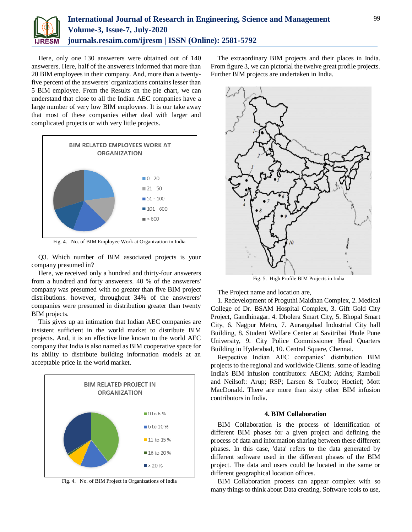

Here, only one 130 answerers were obtained out of 140 answerers. Here, half of the answerers informed that more than 20 BIM employees in their company. And, more than a twentyfive percent of the answerers' organizations contains lesser than 5 BIM employee. From the Results on the pie chart, we can understand that close to all the Indian AEC companies have a large number of very low BIM employees. It is our take away that most of these companies either deal with larger and complicated projects or with very little projects.



Fig. 4. No. of BIM Employee Work at Organization in India

Q3. Which number of BIM associated projects is your company presumed in?

Here, we received only a hundred and thirty-four answerers from a hundred and forty answerers. 40 % of the answerers' company was presumed with no greater than five BIM project distributions. however, throughout 34% of the answerers' companies were presumed in distribution greater than twenty BIM projects.

This gives up an intimation that Indian AEC companies are insistent sufficient in the world market to distribute BIM projects. And, it is an effective line known to the world AEC company that India is also named as BIM cooperative space for its ability to distribute building information models at an acceptable price in the world market.



Fig. 4. No. of BIM Project in Organizations of India

The extraordinary BIM projects and their places in India. From figure 3, we can pictorial the twelve great profile projects. Further BIM projects are undertaken in India.



Fig. 5. High Profile BIM Projects in India

The Project name and location are,

1. Redevelopment of Proguthi Maidhan Complex, 2. Medical College of Dr. BSAM Hospital Complex, 3. Gift Gold City Project, Gandhinagar. 4. Dholera Smart City, 5. Bhopal Smart City, 6. Nagpur Metro, 7. Aurangabad Industrial City hall Building, 8. Student Welfare Center at Savitribai Phule Pune University, 9. City Police Commissioner Head Quarters Building in Hyderabad, 10. Central Square, Chennai.

Respective Indian AEC companies' distribution BIM projects to the regional and worldwide Clients. some of leading India's BIM infusion contributors: AECM; Atkins; Ramboll and Neilsoft: Arup; RSP; Larsen & Toubro; Hoctief; Mott MacDonald. There are more than sixty other BIM infusion contributors in India.

## **4. BIM Collaboration**

BIM Collaboration is the process of identification of different BIM phases for a given project and defining the process of data and information sharing between these different phases. In this case, 'data' refers to the data generated by different software used in the different phases of the BIM project. The data and users could be located in the same or different geographical location offices.

BIM Collaboration process can appear complex with so many things to think about Data creating, Software tools to use,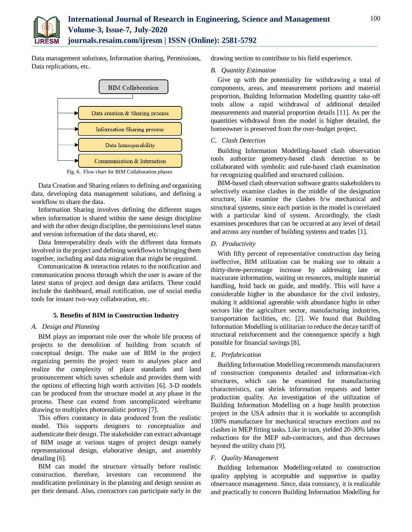

Data management solutions, Information sharing, Permissions, Data replications, etc.



Fig. 6. Flow chart for BIM Collaboration phases

Data Creation and Sharing relates to defining and organizing data, developing data management solutions, and defining a workflow to share the data.

Information Sharing involves defining the different stages when information is shared within the same design discipline and with the other design discipline, the permissions level status and version information of the data shared, etc.

Data Interoperability deals with the different data formats involved in the project and defining workflows to bringing them together, including and data migration that might be required.

Communication & interaction relates to the notification and communication process through which the user is aware of the latest status of project and design data artifacts. These could include the dashboard, email notification, use of social media tools for instant two-way collaboration, etc.

# **5. Benefits of BIM in Construction Industry**

## *A. Design and Planning*

BIM plays an important role over the whole life process of projects to the demolition of building from scratch of conceptual design. The make use of BIM in the project organizing permits the project team to analyses place and realize the complexity of place standards and land pronouncement which saves schedule and provides them with the options of effecting high worth activities [6]. 3-D models can be produced from the structure model at any phase in the process. These can extend from uncomplicated wireframe drawing to multiplex photorealistic portray [7].

This offers constancy in data produced from the realistic model. This supports designers to conceptualize and authenticate their design. The stakeholder can extract advantage of BIM usage at various stages of project design namely representational design, elaborative design, and assembly detailing [6].

BIM can model the structure virtually before realistic construction. therefore, investors can recommend the modification preliminary in the planning and design session as per their demand. Also, contractors can participate early in the drawing section to contribute to his field experience.

## *B. Quantity Estimation*

Give up with the potentiality for withdrawing a total of components, areas, and measurement portions and material proportion, Building Information Modelling quantity take-off tools allow a rapid withdrawal of additional detailed measurements and material proportion details [11]. As per the quantities withdrawal from the model is higher detailed, the homeowner is preserved from the over-budget project.

## *C. Clash Detection*

Building Information Modelling-based clash observation tools authorize geometry-based clash detection to be collaborated with symbolic and rule-based clash examination for recognizing qualified and structured collision.

BIM-based clash observation software grants stakeholders to selectively examine clashes in the middle of the designation structure, like examine the clashes b/w mechanical and structural systems, since each portion in the model is correlated with a particular kind of system. Accordingly, the clash examines procedures that can be occurred at any level of detail and across any number of building systems and trades [1].

## *D. Productivity*

With fifty percent of representative construction day being ineffective, BIM utilization can be making use to obtain a thirty-three-percentage increase by addressing late or inaccurate information, waiting on resources, multiple material handling, hold back on guide, and modify. This will have a considerable higher in the abundance for the civil industry, making it additional agreeable with abundance highs in other sectors like the agriculture sector, manufacturing industries, transportation facilities, etc. [2]. We found that Building Information Modelling is utilitarian to reduce the decay tariff of structural reinforcement and the consequence specify a high possible for financial savings [8].

# *E. Prefabrication*

Building Information Modelling recommends manufacturers of construction components detailed and information-rich structures, which can be examined for manufacturing characteristics, can shrink information requests and better production quality. An investigation of the utilization of Building Information Modelling on a huge health protection project in the USA admits that it is workable to accomplish 100% manufacture for mechanical structure erections and no clashes in MEP fitting tasks. Like in turn, yielded 20-30% labor reductions for the MEP sub-contractors, and thus decreases beyond the utility chain [9].

## *F. Quality Management*

Building Information Modelling-related to construction quality applying is acceptable and supportive in quality observance management. Since, data constancy, it is realizable and practically to concern Building Information Modelling for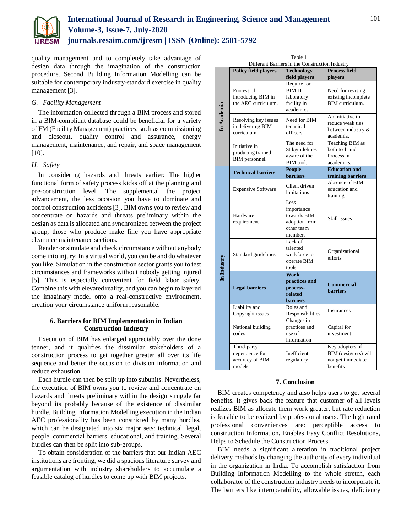

quality management and to completely take advantage of design data through the imagination of the construction procedure. Second Building Information Modelling can be suitable for contemporary industry-standard exercise in quality management [3].

#### *G. Facility Management*

The information collected through a BIM process and stored in a BIM-compliant database could be beneficial for a variety of FM (Facility Management) practices, such as commissioning and closeout, quality control and assurance, energy management, maintenance, and repair, and space management [10].

# *H. Safety*

In considering hazards and threats earlier: The higher functional form of safety process kicks off at the planning and pre-construction level. The supplemental the project advancement, the less occasion you have to dominate and control construction accidents [3]. BIM owns you to review and concentrate on hazards and threats preliminary within the design as data is allocated and synchronized between the project group, those who produce make fine you have appropriate clearance maintenance sections.

Render or simulate and check circumstance without anybody come into injury: In a virtual world, you can be and do whatever you like. Simulation in the construction sector grants you to test circumstances and frameworks without nobody getting injured [5]. This is especially convenient for field labor safety. Combine this with elevated reality, and you can begin to layered the imaginary model onto a real-constructive environment, creation your circumstance uniform reasonable.

# **6. Barriers for BIM Implementation in Indian Construction Industry**

Execution of BIM has enlarged appreciably over the done tenner, and it qualifies the dissimilar stakeholders of a construction process to get together greater all over its life sequence and better the occasion to division information and reduce exhaustion.

Each hurdle can then be split up into subunits. Nevertheless, the execution of BIM owns you to review and concentrate on hazards and threats preliminary within the design struggle far beyond its probably because of the existence of dissimilar hurdle. Building Information Modelling execution in the Indian AEC professionality has been constricted by many hurdles, which can be designated into six major sets: technical, legal, people, commercial barriers, educational, and training. Several hurdles can then be split into sub-groups.

To obtain consideration of the barriers that our Indian AEC institutions are fronting, we did a spacious literature survey and argumentation with industry shareholders to accumulate a feasible catalog of hurdles to come up with BIM projects.

| Table 1                                         |                                                            |                                                                                         |                                                                          |
|-------------------------------------------------|------------------------------------------------------------|-----------------------------------------------------------------------------------------|--------------------------------------------------------------------------|
| Different Barriers in the Construction Industry |                                                            |                                                                                         |                                                                          |
|                                                 | <b>Policy field players</b>                                | <b>Technology</b>                                                                       | <b>Process field</b>                                                     |
| In Academia                                     | Process of<br>introducing BIM in<br>the AEC curriculum.    | field players<br>Require for<br><b>BIMIT</b><br>laboratory<br>facility in<br>academics. | players<br>Need for revising<br>existing incomplete<br>BIM curriculum.   |
|                                                 | Resolving key issues<br>in delivering BIM<br>curriculum.   | Need for BIM<br>technical<br>officers.                                                  | An initiative to<br>reduce weak ties<br>between industry &<br>academia.  |
|                                                 | Initiative in<br>producing trained<br>BIM personnel.       | The need for<br>Std/guidelines<br>aware of the<br>BIM tool.                             | Teaching BIM as<br>both tech and<br>Process in<br>academics.             |
| In Industry                                     | <b>Technical barriers</b>                                  | <b>People</b><br><b>barriers</b>                                                        | <b>Education and</b><br>training barriers                                |
|                                                 | <b>Expensive Software</b>                                  | Client driven<br>limitations                                                            | Absence of BIM<br>education and<br>training                              |
|                                                 | Hardware<br>requirement                                    | Less<br>importance<br>towards BIM<br>adoption from<br>other team<br>members             | Skill issues                                                             |
|                                                 | Standard guidelines                                        | Lack of<br>talented<br>workforce to<br>operate BIM<br>tools                             | Organizational<br>efforts                                                |
|                                                 | <b>Legal barriers</b>                                      | Work<br>practices and<br>process-<br>related<br><b>barriers</b>                         | <b>Commercial</b><br><b>barriers</b>                                     |
|                                                 | Liability and<br>Copyright issues                          | Roles and<br>Responsibilities                                                           | Insurances                                                               |
|                                                 | National building<br>codes                                 | Changes in<br>practices and<br>use of<br>information                                    | Capital for<br>investment                                                |
|                                                 | Third-party<br>dependence for<br>accuracy of BIM<br>models | Inefficient<br>regulatory                                                               | Key adopters of<br>BIM (designers) will<br>not get immediate<br>benefits |

#### **7. Conclusion**

BIM creates competency and also helps users to get several benefits. It gives back the feature that customer of all levels realizes BIM as allocate them work greater, but rate reduction is feasible to be realized by professional users. The high rated professional conveniences are: perceptible access to construction Information, Enables Easy Conflict Resolutions, Helps to Schedule the Construction Process.

BIM needs a significant alteration in traditional project delivery methods by changing the authority of every individual in the organization in India. To accomplish satisfaction from Building Information Modelling to the whole stretch, each collaborator of the construction industry needs to incorporate it. The barriers like interoperability, allowable issues, deficiency